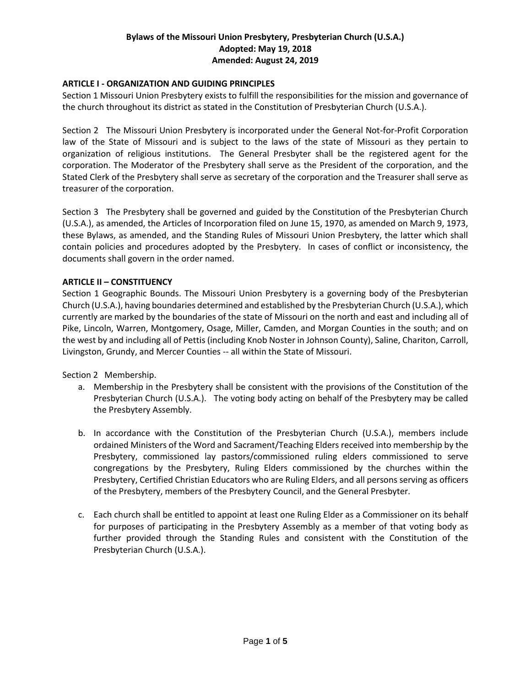# **Bylaws of the Missouri Union Presbytery, Presbyterian Church (U.S.A.) Adopted: May 19, 2018 Amended: August 24, 2019**

## **ARTICLE I - ORGANIZATION AND GUIDING PRINCIPLES**

Section 1 Missouri Union Presbytery exists to fulfill the responsibilities for the mission and governance of the church throughout its district as stated in the Constitution of Presbyterian Church (U.S.A.).

Section 2 The Missouri Union Presbytery is incorporated under the General Not-for-Profit Corporation law of the State of Missouri and is subject to the laws of the state of Missouri as they pertain to organization of religious institutions. The General Presbyter shall be the registered agent for the corporation. The Moderator of the Presbytery shall serve as the President of the corporation, and the Stated Clerk of the Presbytery shall serve as secretary of the corporation and the Treasurer shall serve as treasurer of the corporation.

Section 3 The Presbytery shall be governed and guided by the Constitution of the Presbyterian Church (U.S.A.), as amended, the Articles of Incorporation filed on June 15, 1970, as amended on March 9, 1973, these Bylaws, as amended, and the Standing Rules of Missouri Union Presbytery, the latter which shall contain policies and procedures adopted by the Presbytery. In cases of conflict or inconsistency, the documents shall govern in the order named.

### **ARTICLE II – CONSTITUENCY**

Section 1 Geographic Bounds. The Missouri Union Presbytery is a governing body of the Presbyterian Church (U.S.A.), having boundaries determined and established by the Presbyterian Church (U.S.A.), which currently are marked by the boundaries of the state of Missouri on the north and east and including all of Pike, Lincoln, Warren, Montgomery, Osage, Miller, Camden, and Morgan Counties in the south; and on the west by and including all of Pettis (including Knob Noster in Johnson County), Saline, Chariton, Carroll, Livingston, Grundy, and Mercer Counties -- all within the State of Missouri.

Section 2 Membership.

- a. Membership in the Presbytery shall be consistent with the provisions of the Constitution of the Presbyterian Church (U.S.A.). The voting body acting on behalf of the Presbytery may be called the Presbytery Assembly.
- b. In accordance with the Constitution of the Presbyterian Church (U.S.A.), members include ordained Ministers of the Word and Sacrament/Teaching Elders received into membership by the Presbytery, commissioned lay pastors/commissioned ruling elders commissioned to serve congregations by the Presbytery, Ruling Elders commissioned by the churches within the Presbytery, Certified Christian Educators who are Ruling Elders, and all persons serving as officers of the Presbytery, members of the Presbytery Council, and the General Presbyter.
- c. Each church shall be entitled to appoint at least one Ruling Elder as a Commissioner on its behalf for purposes of participating in the Presbytery Assembly as a member of that voting body as further provided through the Standing Rules and consistent with the Constitution of the Presbyterian Church (U.S.A.).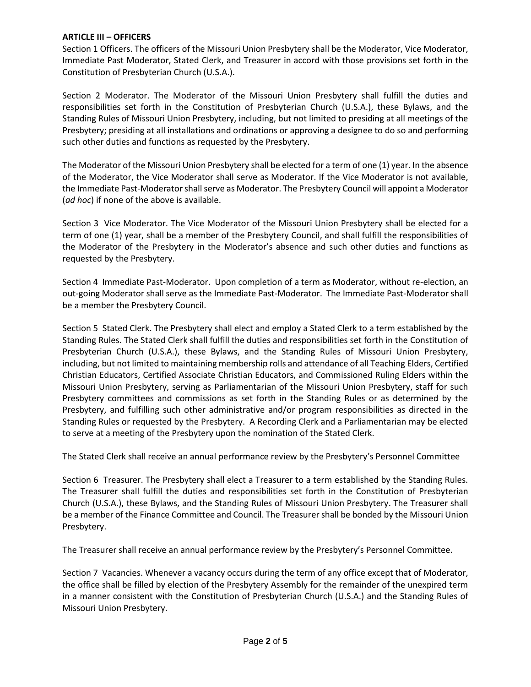### **ARTICLE III – OFFICERS**

Section 1 Officers. The officers of the Missouri Union Presbytery shall be the Moderator, Vice Moderator, Immediate Past Moderator, Stated Clerk, and Treasurer in accord with those provisions set forth in the Constitution of Presbyterian Church (U.S.A.).

Section 2 Moderator. The Moderator of the Missouri Union Presbytery shall fulfill the duties and responsibilities set forth in the Constitution of Presbyterian Church (U.S.A.), these Bylaws, and the Standing Rules of Missouri Union Presbytery, including, but not limited to presiding at all meetings of the Presbytery; presiding at all installations and ordinations or approving a designee to do so and performing such other duties and functions as requested by the Presbytery.

The Moderator of the Missouri Union Presbytery shall be elected for a term of one (1) year. In the absence of the Moderator, the Vice Moderator shall serve as Moderator. If the Vice Moderator is not available, the Immediate Past-Moderator shall serve as Moderator. The Presbytery Council will appoint a Moderator (*ad hoc*) if none of the above is available.

Section 3 Vice Moderator. The Vice Moderator of the Missouri Union Presbytery shall be elected for a term of one (1) year, shall be a member of the Presbytery Council, and shall fulfill the responsibilities of the Moderator of the Presbytery in the Moderator's absence and such other duties and functions as requested by the Presbytery.

Section 4 Immediate Past-Moderator. Upon completion of a term as Moderator, without re-election, an out-going Moderator shall serve as the Immediate Past-Moderator. The Immediate Past-Moderator shall be a member the Presbytery Council.

Section 5 Stated Clerk. The Presbytery shall elect and employ a Stated Clerk to a term established by the Standing Rules. The Stated Clerk shall fulfill the duties and responsibilities set forth in the Constitution of Presbyterian Church (U.S.A.), these Bylaws, and the Standing Rules of Missouri Union Presbytery, including, but not limited to maintaining membership rolls and attendance of all Teaching Elders, Certified Christian Educators, Certified Associate Christian Educators, and Commissioned Ruling Elders within the Missouri Union Presbytery, serving as Parliamentarian of the Missouri Union Presbytery, staff for such Presbytery committees and commissions as set forth in the Standing Rules or as determined by the Presbytery, and fulfilling such other administrative and/or program responsibilities as directed in the Standing Rules or requested by the Presbytery. A Recording Clerk and a Parliamentarian may be elected to serve at a meeting of the Presbytery upon the nomination of the Stated Clerk.

The Stated Clerk shall receive an annual performance review by the Presbytery's Personnel Committee

Section 6 Treasurer. The Presbytery shall elect a Treasurer to a term established by the Standing Rules. The Treasurer shall fulfill the duties and responsibilities set forth in the Constitution of Presbyterian Church (U.S.A.), these Bylaws, and the Standing Rules of Missouri Union Presbytery. The Treasurer shall be a member of the Finance Committee and Council. The Treasurer shall be bonded by the Missouri Union Presbytery.

The Treasurer shall receive an annual performance review by the Presbytery's Personnel Committee.

Section 7 Vacancies. Whenever a vacancy occurs during the term of any office except that of Moderator, the office shall be filled by election of the Presbytery Assembly for the remainder of the unexpired term in a manner consistent with the Constitution of Presbyterian Church (U.S.A.) and the Standing Rules of Missouri Union Presbytery.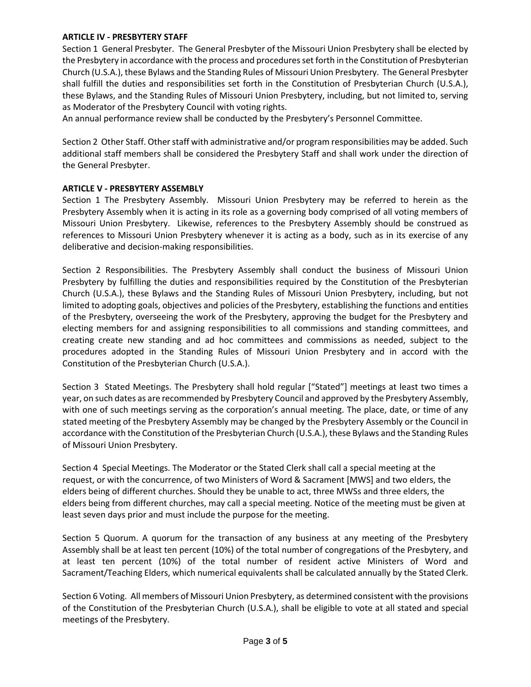### **ARTICLE IV - PRESBYTERY STAFF**

Section 1 General Presbyter. The General Presbyter of the Missouri Union Presbytery shall be elected by the Presbytery in accordance with the process and procedures set forth in the Constitution of Presbyterian Church (U.S.A.), these Bylaws and the Standing Rules of Missouri Union Presbytery. The General Presbyter shall fulfill the duties and responsibilities set forth in the Constitution of Presbyterian Church (U.S.A.), these Bylaws, and the Standing Rules of Missouri Union Presbytery, including, but not limited to, serving as Moderator of the Presbytery Council with voting rights.

An annual performance review shall be conducted by the Presbytery's Personnel Committee.

Section 2 Other Staff. Other staff with administrative and/or program responsibilities may be added. Such additional staff members shall be considered the Presbytery Staff and shall work under the direction of the General Presbyter.

### **ARTICLE V - PRESBYTERY ASSEMBLY**

Section 1 The Presbytery Assembly. Missouri Union Presbytery may be referred to herein as the Presbytery Assembly when it is acting in its role as a governing body comprised of all voting members of Missouri Union Presbytery. Likewise, references to the Presbytery Assembly should be construed as references to Missouri Union Presbytery whenever it is acting as a body, such as in its exercise of any deliberative and decision-making responsibilities.

Section 2 Responsibilities. The Presbytery Assembly shall conduct the business of Missouri Union Presbytery by fulfilling the duties and responsibilities required by the Constitution of the Presbyterian Church (U.S.A.), these Bylaws and the Standing Rules of Missouri Union Presbytery, including, but not limited to adopting goals, objectives and policies of the Presbytery, establishing the functions and entities of the Presbytery, overseeing the work of the Presbytery, approving the budget for the Presbytery and electing members for and assigning responsibilities to all commissions and standing committees, and creating create new standing and ad hoc committees and commissions as needed, subject to the procedures adopted in the Standing Rules of Missouri Union Presbytery and in accord with the Constitution of the Presbyterian Church (U.S.A.).

Section 3 Stated Meetings. The Presbytery shall hold regular ["Stated"] meetings at least two times a year, on such dates as are recommended by Presbytery Council and approved by the Presbytery Assembly, with one of such meetings serving as the corporation's annual meeting. The place, date, or time of any stated meeting of the Presbytery Assembly may be changed by the Presbytery Assembly or the Council in accordance with the Constitution of the Presbyterian Church (U.S.A.), these Bylaws and the Standing Rules of Missouri Union Presbytery.

Section 4 Special Meetings. The Moderator or the Stated Clerk shall call a special meeting at the request, or with the concurrence, of two Ministers of Word & Sacrament [MWS] and two elders, the elders being of different churches. Should they be unable to act, three MWSs and three elders, the elders being from different churches, may call a special meeting. Notice of the meeting must be given at least seven days prior and must include the purpose for the meeting.

Section 5 Quorum. A quorum for the transaction of any business at any meeting of the Presbytery Assembly shall be at least ten percent (10%) of the total number of congregations of the Presbytery, and at least ten percent (10%) of the total number of resident active Ministers of Word and Sacrament/Teaching Elders, which numerical equivalents shall be calculated annually by the Stated Clerk.

Section 6 Voting. All members of Missouri Union Presbytery, as determined consistent with the provisions of the Constitution of the Presbyterian Church (U.S.A.), shall be eligible to vote at all stated and special meetings of the Presbytery.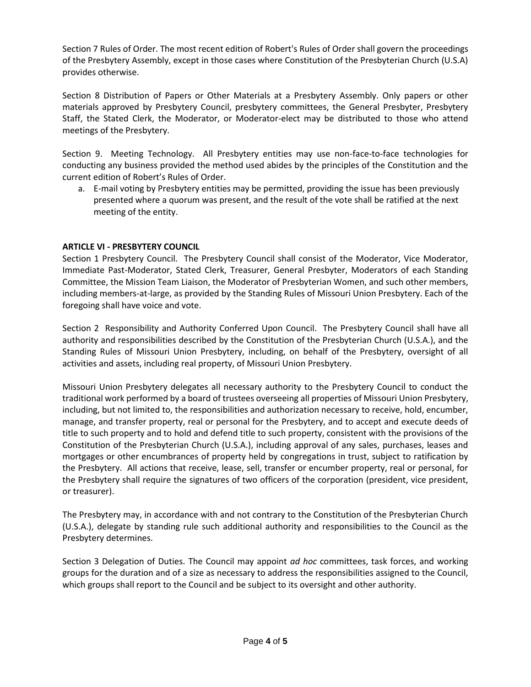Section 7 Rules of Order. The most recent edition of Robert's Rules of Order shall govern the proceedings of the Presbytery Assembly, except in those cases where Constitution of the Presbyterian Church (U.S.A) provides otherwise.

Section 8 Distribution of Papers or Other Materials at a Presbytery Assembly. Only papers or other materials approved by Presbytery Council, presbytery committees, the General Presbyter, Presbytery Staff, the Stated Clerk, the Moderator, or Moderator-elect may be distributed to those who attend meetings of the Presbytery.

Section 9. Meeting Technology. All Presbytery entities may use non-face-to-face technologies for conducting any business provided the method used abides by the principles of the Constitution and the current edition of Robert's Rules of Order.

a. E-mail voting by Presbytery entities may be permitted, providing the issue has been previously presented where a quorum was present, and the result of the vote shall be ratified at the next meeting of the entity.

## **ARTICLE VI - PRESBYTERY COUNCIL**

Section 1 Presbytery Council. The Presbytery Council shall consist of the Moderator, Vice Moderator, Immediate Past-Moderator, Stated Clerk, Treasurer, General Presbyter, Moderators of each Standing Committee, the Mission Team Liaison, the Moderator of Presbyterian Women, and such other members, including members-at-large, as provided by the Standing Rules of Missouri Union Presbytery. Each of the foregoing shall have voice and vote.

Section 2 Responsibility and Authority Conferred Upon Council. The Presbytery Council shall have all authority and responsibilities described by the Constitution of the Presbyterian Church (U.S.A.), and the Standing Rules of Missouri Union Presbytery, including, on behalf of the Presbytery, oversight of all activities and assets, including real property, of Missouri Union Presbytery.

Missouri Union Presbytery delegates all necessary authority to the Presbytery Council to conduct the traditional work performed by a board of trustees overseeing all properties of Missouri Union Presbytery, including, but not limited to, the responsibilities and authorization necessary to receive, hold, encumber, manage, and transfer property, real or personal for the Presbytery, and to accept and execute deeds of title to such property and to hold and defend title to such property, consistent with the provisions of the Constitution of the Presbyterian Church (U.S.A.), including approval of any sales, purchases, leases and mortgages or other encumbrances of property held by congregations in trust, subject to ratification by the Presbytery. All actions that receive, lease, sell, transfer or encumber property, real or personal, for the Presbytery shall require the signatures of two officers of the corporation (president, vice president, or treasurer).

The Presbytery may, in accordance with and not contrary to the Constitution of the Presbyterian Church (U.S.A.), delegate by standing rule such additional authority and responsibilities to the Council as the Presbytery determines.

Section 3 Delegation of Duties. The Council may appoint *ad hoc* committees, task forces, and working groups for the duration and of a size as necessary to address the responsibilities assigned to the Council, which groups shall report to the Council and be subject to its oversight and other authority.